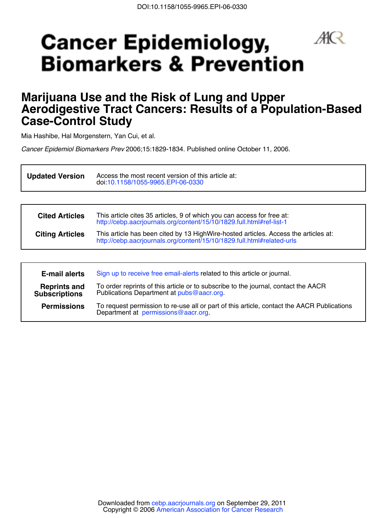# AAQ **Cancer Epidemiology, Biomarkers & Prevention**

# **Case-Control Study Aerodigestive Tract Cancers: Results of a Population-Based Marijuana Use and the Risk of Lung and Upper**

Mia Hashibe, Hal Morgenstern, Yan Cui, et al.

Cancer Epidemiol Biomarkers Prev 2006;15:1829-1834. Published online October 11, 2006.

**Updated Version** doi:10.1158/1055-9965.EPI-06-0330 Access the most recent version of this article at:

| <b>Cited Articles</b>  | This article cites 35 articles, 9 of which you can access for free at:<br>http://cebp.aacrjournals.org/content/15/10/1829.full.html#ref-list-1                |  |  |  |  |
|------------------------|---------------------------------------------------------------------------------------------------------------------------------------------------------------|--|--|--|--|
| <b>Citing Articles</b> | This article has been cited by 13 HighWire-hosted articles. Access the articles at:<br>http://cebp.aacrjournals.org/content/15/10/1829.full.html#related-urls |  |  |  |  |

| E-mail alerts                               | Sign up to receive free email-alerts related to this article or journal.                                                         |
|---------------------------------------------|----------------------------------------------------------------------------------------------------------------------------------|
| <b>Reprints and</b><br><b>Subscriptions</b> | To order reprints of this article or to subscribe to the journal, contact the AACR<br>Publications Department at pubs@aacr.org.  |
| <b>Permissions</b>                          | To request permission to re-use all or part of this article, contact the AACR Publications<br>Department at permissions@aacr.org |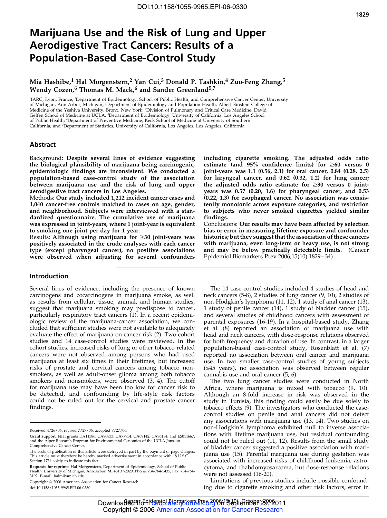# Marijuana Use and the Risk of Lung and Upper Aerodigestive Tract Cancers: Results of a Population-Based Case-Control Study

# Mia Hashibe,<sup>1</sup> Hal Morgenstern,<sup>2</sup> Yan Cui,<sup>3</sup> Donald P. Tashkin,<sup>4</sup> Zuo-Feng Zhang,<sup>5</sup> Wendy Cozen,<sup>6</sup> Thomas M. Mack,<sup>6</sup> and Sander Greenland<sup>5,7</sup>

'IARC, Lyon, France; 'Department of Epidemiology, School of Public Health, and Comprehensive Cancer Center, University<br>of Michigan, Ann Arbor, Michigan; 'Department of Epidemiology and Population Health, Albert Einstein Co Medicine of the Yeshiva University, Bronx, New York; <sup>4</sup>Division of Pulmonary and Critical Care Medicine, David Geffen School of Medicine at UCLA; <sup>5</sup>Department of Epidemiology, University of California, Los Angeles School of Public Health; <sup>6</sup>Department of Preventive Medicine, Keck School of Medicine at University of Southern California; and <sup>7</sup>Department of Statistics, University of California, Los Angeles, Los Angeles, California

#### Abstract

Background: Despite several lines of evidence suggesting the biological plausibility of marijuana being carcinogenic, epidemiologic findings are inconsistent. We conducted a population-based case-control study of the association between marijuana use and the risk of lung and upper aerodigestive tract cancers in Los Angeles.

Methods: Our study included 1,212 incident cancer cases and 1,040 cancer-free controls matched to cases on age, gender, and neighborhood. Subjects were interviewed with a standardized questionnaire. The cumulative use of marijuana was expressed in joint-years, where 1 joint-year is equivalent to smoking one joint per day for 1 year.

Results: Although using marijuana for  $\geq$ 30 joint-years was positively associated in the crude analyses with each cancer type (except pharyngeal cancer), no positive associations were observed when adjusting for several confounders

### Introduction

Several lines of evidence, including the presence of known carcinogens and cocarcinogens in marijuana smoke, as well as results from cellular, tissue, animal, and human studies, suggest that marijuana smoking may predispose to cancer, particularly respiratory tract cancers (1). In a recent epidemiologic review of the marijuana-cancer association, we concluded that sufficient studies were not available to adequately evaluate the effect of marijuana on cancer risk (2). Two cohort studies and 14 case-control studies were reviewed. In the cohort studies, increased risks of lung or other tobacco-related cancers were not observed among persons who had used marijuana at least six times in their lifetimes, but increased risks of prostate and cervical cancers among tobacco nonsmokers, as well as adult-onset glioma among both tobacco smokers and nonsmokers, were observed (3, 4). The cutoff for marijuana use may have been too low for cancer risk to be detected, and confounding by life-style risk factors could not be ruled out for the cervical and prostate cancer findings.

Copyright © 2006 American Association for Cancer Research. doi:10.1158/1055-9965.EPI-06-0330

including cigarette smoking. The adjusted odds ratio estimate (and 95% confidence limits) for  $\geq 60$  versus 0 joint-years was 1.1 (0.56, 2.1) for oral cancer, 0.84 (0.28, 2.5) for laryngeal cancer, and 0.62 (0.32, 1.2) for lung cancer; the adjusted odds ratio estimate for  $\geq 30$  versus 0 jointyears was 0.57 (0.20, 1.6) for pharyngeal cancer, and 0.53 (0.22, 1.3) for esophageal cancer. No association was consistently monotonic across exposure categories, and restriction to subjects who never smoked cigarettes yielded similar findings.

Conclusions: Our results may have been affected by selection bias or error in measuring lifetime exposure and confounder histories; but they suggest that the association of these cancers with marijuana, even long-term or heavy use, is not strong and may be below practically detectable limits. (Cancer Epidemiol Biomarkers Prev 2006;15(10):1829 – 34)

The 14 case-control studies included 4 studies of head and neck cancers (5-8), 2 studies of lung cancer (9, 10), 2 studies of non-Hodgkin's lymphoma (11, 12), 1 study of anal cancer (13), 1 study of penile cancer (14), 1 study of bladder cancer (15), and several studies of childhood cancers with assessment of parental exposures (16-19). In a hospital-based study, Zhang et al. (8) reported an association of marijuana use with head and neck cancers, with dose-response relations observed for both frequency and duration of use. In contrast, in a larger population-based case-control study, Rosenblatt et al. (7) reported no association between oral cancer and marijuana use. In two smaller case-control studies of young subjects  $(\leq 45$  years), no association was observed between regular cannabis use and oral cancer (5, 6).

The two lung cancer studies were conducted in North Africa, where marijuana is mixed with tobacco (9, 10). Although an 8-fold increase in risk was observed in the study in Tunisia, this finding could easily be due solely to tobacco effects (9). The investigators who conducted the casecontrol studies on penile and anal cancers did not detect any associations with marijuana use (13, 14). Two studies on non-Hodgkin's lymphoma exhibited null to inverse associations with lifetime marijuana use, but residual confounding could not be ruled out (11, 12). Results from the small study of bladder cancer suggested a positive association with marijuana use (15). Parental marijuana use during gestation was associated with increased risks of childhood leukemia, astrocytoma, and rhabdomyosarcoma, but dose-response relations were not assessed (16-20).

Limitations of previous studies include possible confounding due to cigarette smoking and other risk factors, error in

Received 4/26/06; revised 7/27/06; accepted 7/27/06.

Grant support: NIH grants DA11386, CA90833, CA77954, CA09142, CA96134, and ES011667; and the Alper Research Program for Environmental Genomics of the UCLA Jonsson Comprehensive Cancer Center.

The costs of publication of this article were defrayed in part by the payment of page charges. This article must therefore be hereby marked advertisement in accordance with 18 U.S.C. Section 1734 solely to indicate this fact.

Requests for reprints: Hal Morgenstern, Department of Epidemiology, School of Public Health, University of Michigan, Ann Arbor, MI 48109-2029. Phone: 734-764-5435; Fax: 734-764- 3192. E-mail: halm@umich.edu.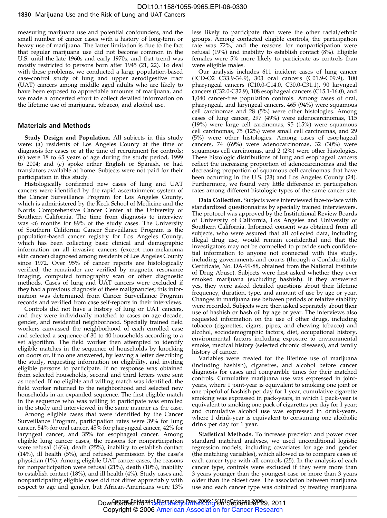measuring marijuana use and potential confounders, and the small number of cancer cases with a history of long-term or heavy use of marijuana. The latter limitation is due to the fact that regular marijuana use did not become common in the U.S. until the late 1960s and early 1970s, and that trend was mostly restricted to persons born after 1945 (21, 22). To deal with these problems, we conducted a large population-based case-control study of lung and upper aerodigestive tract (UAT) cancers among middle aged adults who are likely to have been exposed to appreciable amounts of marijuana, and we made a concerted effort to collect detailed information on the lifetime use of marijuana, tobacco, and alcohol use.

# Materials and Methods

Study Design and Population. All subjects in this study were: (a) residents of Los Angeles County at the time of diagnosis for cases or at the time of recruitment for controls; (b) were 18 to 65 years of age during the study period, 1999 to 2004; and (c) spoke either English or Spanish, or had translators available at home. Subjects were not paid for their participation in this study.

Histologically confirmed new cases of lung and UAT cancers were identified by the rapid ascertainment system of the Cancer Surveillance Program for Los Angeles County, which is administered by the Keck School of Medicine and the Norris Comprehensive Cancer Center at the University of Southern California. The time from diagnosis to interview was <6 months for 89% of the study cases. The University of Southern California Cancer Surveillance Program is the population-based cancer registry for Los Angeles County, which has been collecting basic clinical and demographic information on all invasive cancers (except non-melanoma skin cancer) diagnosed among residents of Los Angeles County since 1972. Over 95% of cancer reports are histologically verified; the remainder are verified by magnetic resonance imaging, computed tomography scan or other diagnostic methods. Cases of lung and UAT cancers were excluded if they had a previous diagnosis of these malignancies; this information was determined from Cancer Surveillance Program records and verified from case self-reports in their interviews.

Controls did not have a history of lung or UAT cancers, and they were individually matched to cases on age decade, gender, and residential neighborhood. Specially trained field workers canvassed the neighborhood of each enrolled case and selected a sequence of 30 to 40 households according to a set algorithm. The field worker then attempted to identify eligible matches in the sequence of households by knocking on doors or, if no one answered, by leaving a letter describing the study, requesting information on eligibility, and inviting eligible persons to participate. If no response was obtained from selected households, second and third letters were sent as needed. If no eligible and willing match was identified, the field worker returned to the neighborhood and selected new households in an expanded sequence. The first eligible match in the sequence who was willing to participate was enrolled in the study and interviewed in the same manner as the case.

Among eligible cases that were identified by the Cancer Surveillance Program, participation rates were 39% for lung cancer, 54% for oral cancer, 45% for pharyngeal cancer, 42% for laryngeal cancer, and 35% for esophageal cancer. Among eligible lung cancer cases, the reasons for nonparticipation were refusal (16%), death (25%), inability to establish contact (14%), ill health (5%), and refused permission by the case's physician (1%). Among eligible UAT cancer cases, the reasons for nonparticipation were refusal (21%), death (10%), inability to establish contact (18%), and ill health (4%). Study cases and nonparticipating eligible cases did not differ appreciably with respect to age and gender, but African-Americans were 13%

less likely to participate than were the other racial/ethnic groups. Among contacted eligible controls, the participation rate was 72%, and the reasons for nonparticipation were refusal (19%) and inability to establish contact (8%). Eligible females were 5% more likely to participate as controls than were eligible males.

Our analysis includes 611 incident cases of lung cancer (ICD-O2 C33.9-34.9), 303 oral cancers (C01.9-C09.9), 100 pharyngeal cancers (C10.0-C14.0, C30.0-C31.1), 90 laryngeal cancers (C32.0-C32.9), 108 esophageal cancers (C15.1-16.0), and 1,040 cancer-free population controls. Among cases of oral, pharyngeal, and laryngeal cancers, 465 (94%) were squamous cell carcinomas and 28 (5%) were other histologies. Among cases of lung cancer, 297 (49%) were adenocarcinomas, 115 (19%) were large cell carcinomas, 95 (15%) were squamous cell carcinomas, 75 (12%) were small cell carcinomas, and 29 (5%) were other histologies. Among cases of esophageal cancers, 74 (69%) were adenocarcinomas, 32 (30%) were squamous cell carcinomas, and 2 (2%) were other histologies. These histologic distributions of lung and esophageal cancers reflect the increasing proportion of adenocarcinomas and the decreasing proportion of squamous cell carcinomas that have been occurring in the U.S. (23) and Los Angeles County (24). Furthermore, we found very little difference in participation rates among different histologic types of the same cancer site.

Data Collection. Subjects were interviewed face-to-face with standardized questionnaires by specially trained interviewers. The protocol was approved by the Institutional Review Boards of University of California, Los Angeles and University of Southern California. Informed consent was obtained from all subjects, who were assured that all collected data, including illegal drug use, would remain confidential and that the investigators may not be compelled to provide such confidential information to anyone not connected with this study, including governments and courts (through a Confidentiality Certificate, No. DA-99-88, obtained from the National Institute of Drug Abuse). Subjects were first asked whether they ever smoked marijuana (excluding hashish). If they answered yes, they were asked detailed questions about their lifetime frequency, duration, type, and amount of use by age or year. Changes in marijuana use between periods of relative stability were recorded. Subjects were then asked separately about their use of hashish or hash oil by age or year. The interviews also requested information on the use of other drugs, including tobacco (cigarettes, cigars, pipes, and chewing tobacco) and alcohol, sociodemographic factors, diet, occupational history, environmental factors including exposure to environmental smoke, medical history (selected chronic diseases), and family history of cancer.

Variables were created for the lifetime use of marijuana (including hashish), cigarettes, and alcohol before cancer diagnosis for cases and comparable times for their matched controls. Cumulative marijuana use was expressed in jointyears, where 1 joint-year is equivalent to smoking one joint or one pipeful of hashish per day for 1 year; cumulative cigarette smoking was expressed in pack-years, in which 1 pack-year is equivalent to smoking one pack of cigarettes per day for 1 year; and cumulative alcohol use was expressed in drink-years, where 1 drink-year is equivalent to consuming one alcoholic drink per day for 1 year.

Statistical Methods. To increase precision and power over standard matched analyses, we used unconditional logistic regression models, including covariates for age and gender (the matching variables), which allowed us to compare cases of each cancer type with all controls (25). In the analysis of each cancer type, controls were excluded if they were more than 3 years younger than the youngest case or more than 3 years older than the oldest case. The association between marijuana use and each cancer type was obtained by treating marijuana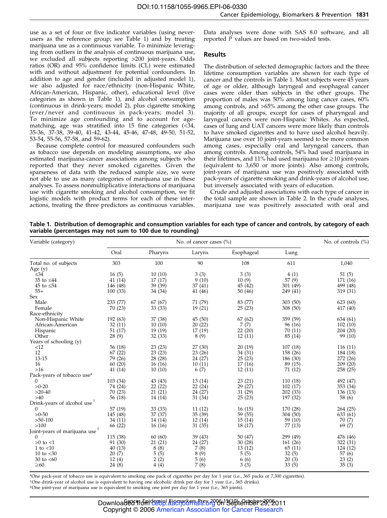use as a set of four or five indicator variables (using neverusers as the reference group; see Table 1) and by treating marijuana use as a continuous variable. To minimize leveraging from outliers in the analysis of continuous marijuana use, we excluded all subjects reporting >200 joint-years. Odds ratios (OR) and 95% confidence limits (CL) were estimated with and without adjustment for potential confounders. In addition to age and gender (included in adjusted model 1), we also adjusted for race/ethnicity (non-Hispanic White, African-American, Hispanic, other), educational level (five categories as shown in Table 1), and alcohol consumption (continuous in drink-years; model 2), plus cigarette smoking (ever/never and continuous in pack-years; model 3). To minimize age confounding and to account for agematching, age was stratified into 15 fine categories  $\langle$ <34, 35-36, 37-38, 39-40, 41-42, 43-44, 45-46, 47-48, 49-50, 51-52, 53-54, 55-56, 57-58, and 59-62).

Because complete control for measured confounders such as tobacco use depends on modeling assumptions, we also estimated marijuana-cancer associations among subjects who reported that they never smoked cigarettes. Given the sparseness of data with the reduced sample size, we were not able to use as many categories of marijuana use in these analyses. To assess nonmultiplicative interactions of marijuana use with cigarette smoking and alcohol consumption, we fit logistic models with product terms for each of these interactions, treating the three predictors as continuous variables.

Data analyses were done with SAS 8.0 software, and all reported  $\vec{P}$  values are based on two-sided tests.

## **Results**

The distribution of selected demographic factors and the three lifetime consumption variables are shown for each type of cancer and the controls in Table 1. Most subjects were 45 years of age or older, although laryngeal and esophageal cancer cases were older than subjects in the other groups. The proportion of males was 50% among lung cancer cases, 60% among controls, and >65% among the other case groups. The majority of all groups, except for cases of pharyngeal and laryngeal cancers were non-Hispanic Whites. As expected, cases of lung and UAT cancers were more likely than controls to have smoked cigarettes and to have used alcohol heavily. Marijuana use over 10 joint-years seemed to be more common among cases, especially oral and laryngeal cancers, than among controls. Among controls, 54% had used marijuana in their lifetimes, and 11% had used marijuana for  $\geq$ 10 joint-years (equivalent to 3,650 or more joints). Also among controls, joint-years of marijuana use was positively associated with pack-years of cigarette smoking and drink-years of alcohol use, but inversely associated with years of education.

Crude and adjusted associations with each type of cancer in the total sample are shown in Table 2. In the crude analyses, marijuana use was positively associated with oral and

Table 1. Distribution of demographic and consumption variables for each type of cancer and controls, by category of each variable (percentages may not sum to 100 due to rounding)

| Variable (category)                       | No. of cancer cases (%) |         |         |            |          | No. of controls $(\% )$ |
|-------------------------------------------|-------------------------|---------|---------|------------|----------|-------------------------|
|                                           | Oral                    | Pharynx | Larynx  | Esophageal | Lung     |                         |
| Total no. of subjects                     | 303                     | 100     | 90      | 108        | 611      | 1,040                   |
| Age $(y)$                                 |                         |         |         |            |          |                         |
| $\leq 34$                                 | 16(5)                   | 10(10)  | 3(3)    | 3(3)       | 4(1)     | 51(5)                   |
| 35 to $\leq 44$                           | 41 (14)                 | 17(17)  | 9(10)   | 10(9)      | 57 (9)   | 171 (16)                |
| 45 to $\leq 54$                           | 146 (48)                | 39 (39) | 37(41)  | 45 (42)    | 301 (49) | 499 (48)                |
| $55+$                                     | 100(33)                 | 34 (34) | 41 (46) | 50 (46)    | 249 (41) | 319 (31)                |
| Sex                                       |                         |         |         |            |          |                         |
| Male                                      | 233 (77)                | 67 (67) | 71 (79) | 83 (77)    | 303 (50) | 623 (60)                |
| Female                                    | 70(23)                  | 33(33)  | 19(21)  | 25(23)     | 308 (50) | 417 (40)                |
| Race-ethnicity                            |                         |         |         |            |          |                         |
| Non-Hispanic White                        | 192 (63)                | 37 (38) | 45(50)  | 67(62)     | 359 (59) | 634 (61)                |
| African-American                          | 32(11)                  | 10(10)  | 20(22)  | 7(7)       | 96 (16)  | 102(10)                 |
| Hispanic                                  | 51 (17)                 | 19(19)  | 17(19)  | 22(20)     | 70(11)   | 204 (20)                |
| Other                                     | 28 (9)                  | 32(33)  | 8(9)    | 12(11)     | 85 (14)  | 99 (10)                 |
| Years of schooling (y)                    |                         |         |         |            |          |                         |
| <12                                       | 56 (18)                 | 23(23)  | 27(30)  | 20(19)     | 107(18)  | 116(11)                 |
| 12                                        | 67(22)                  | 23(23)  | 23(26)  | 34 (31)    | 158 (26) | 184 (18)                |
| 13-15                                     | 79 (26)                 | 28 (28) | 24 (27) | 25(23)     | 186 (30) | 272 (26)                |
| 16                                        | 60(20)                  | 16(16)  | 10(11)  | 17(16)     | 89 (15)  | 209(20)                 |
| $>16$                                     | 41 (14)                 | 10(10)  | 6 (7)   | 12(11)     | 71(12)   | 258 (25)                |
| Pack-years of tobacco use*                |                         |         |         |            |          |                         |
| $\overline{0}$                            | 103 (34)                | 43 (43) | 13(14)  | 23(21)     | 110(18)  | 492 (47)                |
| $>0-20$                                   | 74 (24)                 | 22(22)  | 22(24)  | 29 (27)    | 102(17)  | 353 (34)                |
| $>20-40$                                  | 70 (23)                 | 21(21)  | 24 (27) | 31 (29)    | 202(33)  | 136 (13)                |
| >40                                       | 56 (18)                 | 14 (14) | 31 (34) | 25(23)     | 197 (32) | 58 (6)                  |
| Drink-years of alcohol use                |                         |         |         |            |          |                         |
| $\mathbf{0}$                              | 57 (19)                 | 33 (33) | 11(12)  | 16(15)     | 170 (28) | 264 (25)                |
| $>0-50$                                   | 145 (48)                | 37 (37) | 35(39)  | 59 (55)    | 304 (50) | 633 (61)                |
| $>50-100$                                 | 34 (11)                 | 14 (14) | 12(14)  | 15(14)     | 59(10)   | 70 (7)                  |
| >100                                      | 66(22)                  | 16(16)  | 31(35)  | 18 (17)    | 77 (13)  | 69 (7)                  |
| Joint-years of marijuana use <sup>#</sup> |                         |         |         |            |          |                         |
| $\overline{0}$                            | 115 (38)                | 60(60)  | 39 (43) | 50 (47)    | 299 (49) | 476 (46)                |
| $>0$ to $<1$                              | 91 (30)                 | 21(21)  | 24 (27) | 30(28)     | 161(26)  | 322 (31)                |
| 1 to $<$ 10                               | 40(13)                  | 8(8)    | 7(8)    | 13(12)     | 65(11)   | 124 (12)                |
| 10 to $<$ 30                              | 20(7)                   | 5(5)    | 8(9)    | 5(5)       | 32(5)    | 57(6)                   |
| 30 to $< 60$                              | 12(4)                   | 2(2)    | 5(6)    | 6(6)       | 20(3)    | 23(2)                   |
| $\geq 60$                                 | 24(8)                   | 4(4)    | 7(8)    | 3(3)       | 33(5)    | 35(3)                   |
|                                           |                         |         |         |            |          |                         |

\*One pack-year of tobacco use is equivalent to smoking one pack of cigarettes per day for 1 year (i.e., 365 packs or 7,300 cigarettes).

cOne drink-year of alcohol use is equivalent to having one alcoholic drink per day for 1 year (i.e., 365 drinks).

bOne joint-year of marijuana use is equivalent to smoking one joint per day for 1 year (i.e., 365 joints).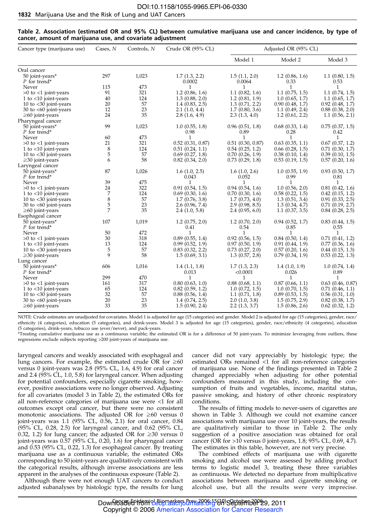### Table 2. Association (estimated OR and 95% CL) between cumulative marijuana use and cancer incidence, by type of cancer, amount of marijuana use, and covariate adjustment

| Cancer type (marijuana use)                       | Cases, N | Controls, N | Crude OR (95% CL)     | Adjusted OR (95% CL)  |                   |                       |
|---------------------------------------------------|----------|-------------|-----------------------|-----------------------|-------------------|-----------------------|
|                                                   |          |             |                       | Model 1               | Model 2           | Model 3               |
| Oral cancer                                       |          |             |                       |                       |                   |                       |
| 50 joint-years*                                   | 297      | 1,023       | 1.7(1.3, 2.2)         | 1.5(1.1, 2.0)         | 1.2(0.86, 1.6)    | $1.1$ $(0.80, 1.5)$   |
| $P$ for trend*                                    |          |             | 0.0002                | 0.0064                | 0.33              | 0.53                  |
| Never                                             | 115      | 473         | 1                     | 1                     | $\mathbf{1}$      | 1                     |
| $>0$ to $<1$ joint-years                          | 91       | 321         | 1.2(0.86, 1.6)        | 1.1(0.82, 1.6)        | $1.1$ (0.75, 1.5) | $1.1$ (0.74, 1.5)     |
| 1 to $<$ 10 joint-years                           | 40       | 124         | 1.3(0.88, 2.0)        | 1.2(0.81, 1.9)        | 1.0(0.65, 1.7)    | 1.1(0.65, 1.7)        |
| 10 to $<$ 30 joint-years                          | 20       | 57          | 1.4(0.83, 2.5)        | 1.3(0.71, 2.2)        | 0.90(0.48, 1.7)   | 0.92(0.48, 1.7)       |
| 30 to $<$ 60 joint-years                          | 12       | 23          | 2.1(1.0, 4.4)         | 1.7(0.80, 3.6)        | 1.1(0.49, 2.4)    | 0.88(0.38, 2.0)       |
| $\geq 60$ joint-years                             | 24       | 35          | 2.8(1.6, 4.9)         | 2.3(1.3, 4.0)         | 1.2(0.61, 2.2)    | 1.1(0.56, 2.1)        |
| Pharyngeal cancer                                 |          |             |                       |                       |                   |                       |
| 50 joint-years*                                   | 99       | 1,023       | 1.0(0.55, 1.8)        | $0.96$ $(0.51, 1.8)$  | 0.68(0.33, 1.4)   | 0.75(0.37, 1.5)       |
| P for trend*                                      |          |             | 0.98                  | 0.89                  | 0.28              | 0.42                  |
| Never                                             | 60       | 473         | 1                     | 1                     | 1                 | 1                     |
| $>0$ to $<1$ joint-years                          | 21       | 321         | $0.52$ $(0.31, 0.87)$ | $0.51$ $(0.30, 0.87)$ | 0.63(0.35, 1.1)   | $0.67$ $(0.37, 1.2)$  |
| 1 to $<$ 10 joint-years                           | 8        | 124         | 0.51(0.24, 1.1)       | 0.54(0.25, 1.2)       | 0.66(0.28, 1.5)   | $0.71$ $(0.30, 1.7)$  |
| 10 to $<$ 30 joint-years                          | 5        | 57          | $0.69$ $(0.27, 1.8)$  | $0.70$ $(0.26, 1.9)$  | 0.38(0.10, 1.4)   | 0.39(0.10, 1.5)       |
| $\geq$ 30 joint-years                             | 6        | 58          | $0.82$ $(0.34, 2.0)$  | $0.73$ $(0.29, 1.8)$  | 0.53(0.19, 1.5)   | $0.57$ $(0.20, 1.6)$  |
|                                                   |          |             |                       |                       |                   |                       |
| Laryngeal cancer                                  |          |             |                       |                       |                   |                       |
| 50 joint-years*                                   | 87       | 1,026       | $1.6$ $(1.0, 2.5)$    | $1.6$ $(1.0, 2.6)$    | 1.0(0.55, 1.9)    | $0.93$ $(0.50, 1.7)$  |
| $P$ for trend*                                    |          |             | 0.043                 | 0.052                 | 0.99              | 0.81                  |
| Never                                             | 39       | 475         | 1                     | 1                     | $\mathbf{1}$      | $\mathbf{1}$          |
| $>0$ to $<1$ joint-years                          | 24       | 322         | 0.91(0.54, 1.5)       | 0.94(0.54, 1.6)       | 1.0(0.56, 2.0)    | 0.81(0.42, 1.6)       |
| 1 to <10 joint-years                              | 7        | 124         | 0.69(0.30, 1.6)       | 0.70(0.30, 1.6)       | 0.58(0.22, 1.5)   | $0.42$ $(0.15, 1.2)$  |
| 10 to $<$ 30 joint-years                          | 8        | 57          | 1.7(0.76, 3.8)        | 1.7(0.73, 4.0)        | 1.3(0.51, 3.4)    | 0.91(0.33, 2.5)       |
| 30 to $<$ 60 joint-years                          | 5        | 23          | 2.6(0.96, 7.4)        | 2.9(0.98, 8.5)        | 1.3(0.34, 4.7)    | $0.71$ $(0.19, 2.7)$  |
| $\geq 60$ joint-years                             | 7        | 35          | 2.4(1.0, 5.8)         | 2.4(0.95, 6.0)        | 1.1(0.37, 3.5)    | $0.84$ $(0.28, 2.5)$  |
| Esophageal cancer                                 |          |             |                       |                       |                   |                       |
| 50 joint-years*                                   | 107      | 1,019       | $1.2$ (0.75, 2.0)     | $1.2$ (0.70, 2.0)     | 0.94(0.52, 1.7)   | 0.83(0.44, 1.5)       |
| P for trend*                                      |          |             | 0.41                  | 0.54                  | 0.85              | 0.55                  |
| Never                                             | 50       | 472         | 1                     | 1                     | $\mathbf{1}$      | 1                     |
| $>0$ to $<1$ joint-years                          | 30       | 318         | 0.89(0.55, 1.4)       | $0.92$ $(0.56, 1.5)$  | 0.84(0.50, 1.4)   | 0.71(0.41, 1.2)       |
| 1 to $<$ 10 joint-years                           | 13       | 124         | 0.99(0.52, 1.9)       | 0.97(0.50, 1.9)       | 0.91(0.44, 1.9)   | 0.77(0.36, 1.6)       |
| 10 to $<$ 30 joint-years                          | 5        | 57          | 0.83(0.32, 2.2)       | 0.73(0.27, 2.0)       | 0.57(0.20, 1.6)   | 0.44(0.15, 1.3)       |
| $\geq$ 30 joint-years                             | 9        | 58          | 1.5(0.69, 3.1)        | 1.3(0.57, 2.8)        | 0.79(0.34, 1.9)   | $0.53$ $(0.22, 1.3)$  |
| Lung cancer                                       |          |             |                       |                       |                   |                       |
| 50 joint-years*                                   | 606      | 1,016       | 1.4(1.1, 1.8)         | 1.7(1.3, 2.3)         | 1.4(1.0, 1.9)     | 1.0(0.74, 1.4)        |
| $P$ for trend*                                    |          |             | 0.013                 | < 0.0001              | 0.026             | 0.89                  |
| Never                                             | 299      | 470         | 1                     | 1                     | 1                 | 1                     |
| $>0$ to $<1$ joint-years                          | 161      | 317         | 0.80(0.63, 1.0)       | 0.88(0.68, 1.1)       | 0.87(0.66, 1.1)   | $0.63$ $(0.46, 0.87)$ |
| 1 to $<$ 10 joint-years                           | 65       | 124         | 0.82(0.59, 1.2)       | 1.0(0.72, 1.5)        | 1.0(0.70, 1.5)    | 0.71(0.46, 1.1)       |
| 10 to $<$ 30 joint-years                          | 32       | 57          | 0.88(0.56, 1.4)       | 1.1(0.71, 1.8)        | 0.89(0.53, 1.5)   | 0.56(0.31, 1.0)       |
|                                                   | 20       | 23          | 1.4(0.74, 2.5)        | 2.0(1.0, 3.8)         | 1.5(0.75, 2.9)    | $0.82$ $(0.38, 1.7)$  |
| 30 to $<$ 60 joint-years<br>$\geq 60$ joint-years | 33       | 35          | 1.5(0.90, 2.4)        |                       | 1.5(0.86, 2.6)    | $0.62$ $(0.32, 1.2)$  |
|                                                   |          |             |                       | 2.2(1.3, 3.7)         |                   |                       |

NOTE: Crude estimates are unadjusted for covariates. Model 1 is adjusted for age (15 categories) and gender. Model 2 is adjusted for age (15 categories), gender, race/ ethnicity (4 categories), education (5 categories), and drink-years. Model 3 is adjusted for age (15 categories), gender, race/ethnicity (4 categories), education (5 categories), drink-years, tobacco use (ever/never), and pack-years.

\*Treating cumulative marijuana use as a continuous variable; the estimated OR is for a difference of 50 joint-years. To minimize leveraging from outliers, these regressions exclude subjects reporting >200 joint-years of marijuana use.

laryngeal cancers and weakly associated with esophageal and lung cancers. For example, the estimated crude OR for  $\geq 60$ versus 0 joint-years was 2.8 (95% CL, 1.6, 4.9) for oral cancer and 2.4 ( $95\%$  CL, 1.0, 5.8) for laryngeal cancer. When adjusting for potential confounders, especially cigarette smoking, however, positive associations were no longer observed. Adjusting for all covariates (model 3 in Table 2), the estimated ORs for all non-reference categories of marijuana use were <1 for all outcomes except oral cancer, but there were no consistent monotonic associations. The adjusted OR for  $\geq 60$  versus 0 joint-years was 1.1 (95% CL, 0.56, 2.1) for oral cancer, 0.84 (95% CL, 0.28, 2.5) for laryngeal cancer, and 0.62 (95% CL, 0.32, 1.2) for lung cancer; the adjusted OR for  $\geq$ 30 versus 0 joint-years was 0.57 (95% CL, 0.20, 1.6) for pharyngeal cancer and 0.53 (95% CL, 0.22, 1.3) for esophageal cancer. By treating marijuana use as a continuous variable, the estimated ORs corresponding to 50 joint-years are qualitatively consistent with the categorical results, although inverse associations are less apparent in the analyses of the continuous exposure (Table 2).

Although there were not enough UAT cancers to conduct adjusted subanalyses by histologic type, the results for lung cancer did not vary appreciably by histologic type; the estimated ORs remained <1 for all non-reference categories of marijuana use. None of the findings presented in Table 2 changed appreciably when adjusting for other potential confounders measured in this study, including the consumption of fruits and vegetables, income, marital status, passive smoking, and history of other chronic respiratory conditions.

The results of fitting models to never-users of cigarettes are shown in Table 3. Although we could not examine cancer associations with marijuana use over 10 joint-years, the results are qualitatively similar to those in Table 2. The only suggestion of a positive association was obtained for oral cancer (OR for >10 versus 0 joint-years, 1.8; 95% CL, 0.69, 4.7). The estimates in this table, however, are not very precise.

The combined effects of marijuana use with cigarette smoking and alcohol use were assessed by adding product terms to logistic model 3, treating these three variables as continuous. We detected no departure from multiplicative associations between marijuana and cigarette smoking or alcohol use, but all the results were very imprecise.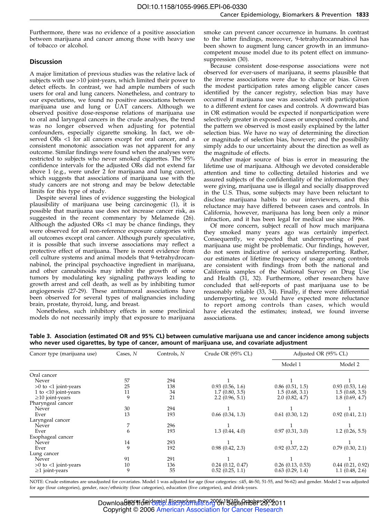Furthermore, there was no evidence of a positive association between marijuana and cancer among those with heavy use of tobacco or alcohol.

# Discussion

A major limitation of previous studies was the relative lack of subjects with use >10 joint-years, which limited their power to detect effects. In contrast, we had ample numbers of such users for oral and lung cancers. Nonetheless, and contrary to our expectations, we found no positive associations between marijuana use and lung or UAT cancers. Although we observed positive dose-response relations of marijuana use to oral and laryngeal cancers in the crude analyses, the trend was no longer observed when adjusting for potential confounders, especially cigarette smoking. In fact, we observed ORs <1 for all cancers except for oral cancer, and a consistent monotonic association was not apparent for any outcome. Similar findings were found when the analyses were restricted to subjects who never smoked cigarettes. The 95% confidence intervals for the adjusted ORs did not extend far above 1 (e.g., were under 2 for marijuana and lung cancer), which suggests that associations of marijuana use with the study cancers are not strong and may be below detectable limits for this type of study.

Despite several lines of evidence suggesting the biological plausibility of marijuana use being carcinogenic (1), it is possible that marijuana use does not increase cancer risk, as suggested in the recent commentary by Melamede (26). Although the adjusted ORs <1 may be chance findings, they were observed for all non-reference exposure categories with all outcomes except oral cancer. Although purely speculative, it is possible that such inverse associations may reflect a protective effect of marijuana. There is recent evidence from cell culture systems and animal models that 9-tetrahydrocannabinol, the principal psychoactive ingredient in marijuana, and other cannabinoids may inhibit the growth of some tumors by modulating key signaling pathways leading to growth arrest and cell death, as well as by inhibiting tumor angiogenesis (27-29). These antitumoral associations have been observed for several types of malignancies including brain, prostate, thyroid, lung, and breast.

Nonetheless, such inhibitory effects in some preclinical models do not necessarily imply that exposure to marijuana

smoke can prevent cancer occurrence in humans. In contrast to the latter findings, moreover, 9-tetrahydrocannabinol has been shown to augment lung cancer growth in an immunocompetent mouse model due to its potent effect on immunosuppression (30).

Because consistent dose-response associations were not observed for ever-users of marijuana, it seems plausible that the inverse associations were due to chance or bias. Given the modest participation rates among eligible cancer cases identified by the cancer registry, selection bias may have occurred if marijuana use was associated with participation to a different extent for cases and controls. A downward bias in OR estimation would be expected if nonparticipation were selectively greater in exposed cases or unexposed controls, and the pattern we observed is most easily explained by the latter selection bias. We have no way of determining the direction or magnitude of selection bias, however; and the possibility simply adds to our uncertainty about the direction as well as the magnitude of effects.

Another major source of bias is error in measuring the lifetime use of marijuana. Although we devoted considerable attention and time to collecting detailed histories and we assured subjects of the confidentiality of the information they were giving, marijuana use is illegal and socially disapproved in the U.S. Thus, some subjects may have been reluctant to disclose marijuana habits to our interviewers, and this reluctance may have differed between cases and controls. In California, however, marijuana has long been only a minor infraction, and it has been legal for medical use since l996.

Of more concern, subject recall of how much marijuana they smoked many years ago was certainly imperfect. Consequently, we expected that underreporting of past marijuana use might be problematic. Our findings, however, do not seem indicative of serious underreporting. Rather, our estimates of lifetime frequency of usage among controls are consistent with findings from both the national and California samples of the National Survey on Drug Use and Health  $(3\overline{1}, 32)$ . Furthermore, other researchers have concluded that self-reports of past marijuana use to be reasonably reliable (33, 34). Finally, if there were differential underreporting, we would have expected more reluctance to report among controls than cases, which would have elevated the estimates; instead, we found inverse associations.

| Cancer type (marijuana use) | Cases, N | Controls, N | Crude OR (95% CL)     | Adjusted OR (95% CL)  |                       |
|-----------------------------|----------|-------------|-----------------------|-----------------------|-----------------------|
|                             |          |             |                       | Model 1               | Model 2               |
| Oral cancer                 |          |             |                       |                       |                       |
| Never                       | 57       | 294         |                       |                       |                       |
| $>0$ to $<1$ joint-years    | 25       | 138         | 0.93(0.56, 1.6)       | 0.86(0.51, 1.5)       | 0.93(0.53, 1.6)       |
| 1 to $<$ 10 joint-years     | 11       | 34          | 1.7(0.80, 3.5)        | 1.5(0.68, 3.1)        | 1.5(0.68, 3.5)        |
| $\geq$ 10 joint-years       | 9        | 21          | $2.2$ (0.96, 5.1)     | $2.0$ (0.82, 4.7)     | 1.8(0.69, 4.7)        |
| Pharyngeal cancer           |          |             |                       |                       |                       |
| Never                       | 30       | 294         |                       |                       |                       |
| Ever                        | 13       | 193         | 0.66(0.34, 1.3)       | $0.61$ $(0.30, 1.2)$  | 0.92(0.41, 2.1)       |
| Laryngeal cancer            |          |             |                       |                       |                       |
| Never                       |          | 296         |                       |                       |                       |
| Ever                        |          | 193         | 1.3(0.44, 4.0)        | 0.97(0.31, 3.0)       | $1.2$ (0.26, 5.5)     |
| Esophageal cancer           |          |             |                       |                       |                       |
| Never                       | 14       | 293         |                       |                       |                       |
| Ever                        | 9        | 192         | 0.98(0.42, 2.3)       | $0.92$ $(0.37, 2.2)$  | $0.79$ $(0.30, 2.1)$  |
| Lung cancer                 |          |             |                       |                       |                       |
| Never                       | 91       | 291         |                       |                       |                       |
| $>0$ to $<1$ joint-years    | 10       | 136         | $0.24$ $(0.12, 0.47)$ | $0.26$ $(0.13, 0.53)$ | $0.44$ $(0.21, 0.92)$ |
| $\geq$ 1 joint-years        | 9        | 55          | $0.52$ $(0.25, 1.1)$  | $0.63$ $(0.29, 1.4)$  | 1.1(0.48, 2.6)        |

Table 3. Association (estimated OR and 95% CL) between cumulative marijuana use and cancer incidence among subjects who never used cigarettes, by type of cancer, amount of marijuana use, and covariate adjustment

NOTE: Crude estimates are unadjusted for covariates. Model 1 was adjusted for age (four categories: ≤45, 46-50, 51-55, and 56-62) and gender. Model 2 was adjusted for age (four categories), gender, race/ethnicity (four categories), education (five categories), and drink-years.